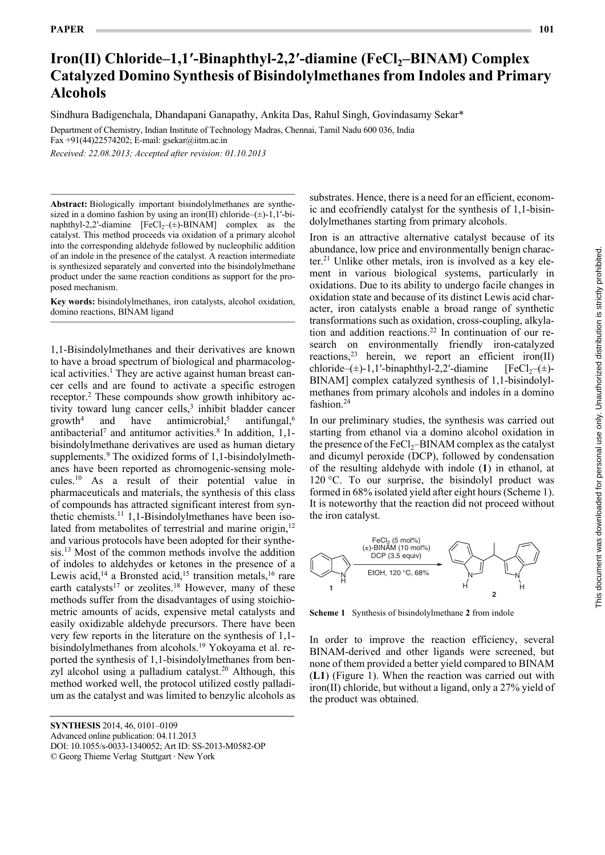# **Iron(II) Chloride–1,1'-Binaphthyl-2,2'-diamine (FeCl<sub>2</sub>–BINAM) Complex Catalyzed Domino Synthesis of Bisindolylmethanes from Indoles and Primary Alcohols**

**Domino Synthesis of Bisindolylmethanes** Sindhura Badigenchala, Dhandapani Ganapathy, Ankita Das, Rahul Singh, Govindasamy Sekar\*

Department of Chemistry, Indian Institute of Technology Madras, Chennai, Tamil Nadu 600 036, India Fax +91(44)22574202; E-mail: gsekar@iitm.ac.in

*Received: 22.08.2013; Accepted after revision: 01.10.2013*

**Abstract:** Biologically important bisindolylmethanes are synthesized in a domino fashion by using an iron(II) chloride– $(\pm)$ -1,1′-binaphthyl-2,2′-diamine  $[FeCl<sub>2</sub>-(±)$ -BINAM] complex as the catalyst. This method proceeds via oxidation of a primary alcohol into the corresponding aldehyde followed by nucleophilic addition of an indole in the presence of the catalyst. A reaction intermediate is synthesized separately and converted into the bisindolylmethane product under the same reaction conditions as support for the proposed mechanism.

**Key words:** bisindolylmethanes, iron catalysts, alcohol oxidation, domino reactions, BINAM ligand

1,1-Bisindolylmethanes and their derivatives are known to have a broad spectrum of biological and pharmacological activities.<sup>1</sup> They are active against human breast cancer cells and are found to activate a specific estrogen receptor.<sup>2</sup> These compounds show growth inhibitory activity toward lung cancer cells, $3$  inhibit bladder cancer  $growth<sup>4</sup>$ and have antimicrobial, $5$ antifungal,<sup>6</sup> antibacterial<sup>7</sup> and antitumor activities.<sup>8</sup> In addition,  $1,1$ bisindolylmethane derivatives are used as human dietary supplements.<sup>9</sup> The oxidized forms of 1,1-bisindolylmethanes have been reported as chromogenic-sensing molecules.10 As a result of their potential value in pharmaceuticals and materials, the synthesis of this class of compounds has attracted significant interest from synthetic chemists.<sup>11</sup> 1,1-Bisindolylmethanes have been isolated from metabolites of terrestrial and marine origin,<sup>12</sup> and various protocols have been adopted for their synthesis.<sup>13</sup> Most of the common methods involve the addition of indoles to aldehydes or ketones in the presence of a Lewis acid,<sup>14</sup> a Bronsted acid,<sup>15</sup> transition metals,<sup>16</sup> rare earth catalysts<sup>17</sup> or zeolites.<sup>18</sup> However, many of these methods suffer from the disadvantages of using stoichiometric amounts of acids, expensive metal catalysts and easily oxidizable aldehyde precursors. There have been very few reports in the literature on the synthesis of 1,1 bisindolylmethanes from alcohols.19 Yokoyama et al. reported the synthesis of 1,1-bisindolylmethanes from benzyl alcohol using a palladium catalyst.<sup>20</sup> Although, this method worked well, the protocol utilized costly palladium as the catalyst and was limited to benzylic alcohols as

**SYNTHESIS** 2014, 46, 0101–0109

Advanced online publication: 04.11.2013

DOI: 10.1055/s-0033-1340052; Art ID: SS-2013-M0582-OP

© Georg Thieme Verlag Stuttgart · New York

substrates. Hence, there is a need for an efficient, economic and ecofriendly catalyst for the synthesis of 1,1-bisindolylmethanes starting from primary alcohols.

Iron is an attractive alternative catalyst because of its abundance, low price and environmentally benign character.<sup>21</sup> Unlike other metals, iron is involved as a key element in various biological systems, particularly in oxidations. Due to its ability to undergo facile changes in oxidation state and because of its distinct Lewis acid character, iron catalysts enable a broad range of synthetic transformations such as oxidation, cross-coupling, alkylation and addition reactions.22 In continuation of our research on environmentally friendly iron-catalyzed reactions,  $2^3$  herein, we report an efficient iron(II) chloride–( $\pm$ )-1,1′-binaphthyl-2,2′-diamine [FeCl<sub>2</sub>–( $\pm$ )-BINAM] complex catalyzed synthesis of 1,1-bisindolylmethanes from primary alcohols and indoles in a domino fashion.<sup>24</sup>

In our preliminary studies, the synthesis was carried out starting from ethanol via a domino alcohol oxidation in the presence of the  $FeCl<sub>2</sub>$ –BINAM complex as the catalyst and dicumyl peroxide (DCP), followed by condensation of the resulting aldehyde with indole (**1**) in ethanol, at 120 °C. To our surprise, the bisindolyl product was formed in 68% isolated yield after eight hours (Scheme 1). It is noteworthy that the reaction did not proceed without the iron catalyst.



**Scheme 1** Synthesis of bisindolylmethane **2** from indole

In order to improve the reaction efficiency, several BINAM-derived and other ligands were screened, but none of them provided a better yield compared to BINAM (**L1**) (Figure 1). When the reaction was carried out with iron(II) chloride, but without a ligand, only a 27% yield of the product was obtained.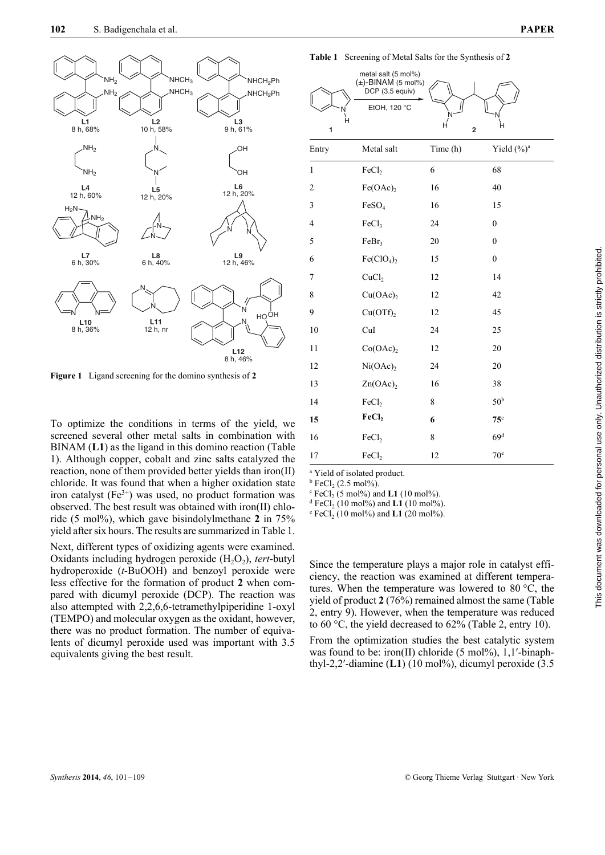

**Figure 1** Ligand screening for the domino synthesis of **2**

To optimize the conditions in terms of the yield, we screened several other metal salts in combination with BINAM (**L1**) as the ligand in this domino reaction (Table 1). Although copper, cobalt and zinc salts catalyzed the reaction, none of them provided better yields than iron(II) chloride. It was found that when a higher oxidation state iron catalyst  $(Fe<sup>3+</sup>)$  was used, no product formation was observed. The best result was obtained with iron(II) chloride (5 mol%), which gave bisindolylmethane **2** in 75% yield after six hours. The results are summarized in Table 1.

Next, different types of oxidizing agents were examined. Oxidants including hydrogen peroxide (H<sub>2</sub>O<sub>2</sub>), *tert*-butyl hydroperoxide (*t*-BuOOH) and benzoyl peroxide were less effective for the formation of product **2** when compared with dicumyl peroxide (DCP). The reaction was also attempted with 2,2,6,6-tetramethylpiperidine 1-oxyl (TEMPO) and molecular oxygen as the oxidant, however, there was no product formation. The number of equivalents of dicumyl peroxide used was important with 3.5 equivalents giving the best result.

**Table 1** Screening of Metal Salts for the Synthesis of **2**

| н<br>1         | metal salt (5 mol%)<br>$(\pm)$ -BINAM (5 mol%)<br>DCP (3.5 equiv)<br>EtOH, 120 °C | H<br>$\overline{2}$ | Н               |
|----------------|-----------------------------------------------------------------------------------|---------------------|-----------------|
| Entry          | Metal salt                                                                        | Time (h)            | Yield $(\%)^a$  |
| $\mathbf{1}$   | FeCl <sub>2</sub>                                                                 | 6                   | 68              |
| 2              | $Fe(OAc)$ ,                                                                       | 16                  | 40              |
| 3              | FeSO <sub>4</sub>                                                                 | 16                  | 15              |
| $\overline{4}$ | FeCl <sub>3</sub>                                                                 | 24                  | $\mathbf{0}$    |
| 5              | FeBr <sub>3</sub>                                                                 | 20                  | $\mathbf{0}$    |
| 6              | Fe(CIO <sub>4</sub> ) <sub>2</sub>                                                | 15                  | $\overline{0}$  |
| 7              | CuCl <sub>2</sub>                                                                 | 12                  | 14              |
| 8              | Cu(OAc)                                                                           | 12                  | 42              |
| 9              | Cu(OTf) <sub>2</sub>                                                              | 12                  | 45              |
| 10             | CuI                                                                               | 24                  | 25              |
| 11             | Co(OAc) <sub>2</sub>                                                              | 12                  | 20              |
| 12             | Ni(OAc) <sub>2</sub>                                                              | 24                  | 20              |
| 13             | Zn(OAc) <sub>2</sub>                                                              | 16                  | 38              |
| 14             | FeCl <sub>2</sub>                                                                 | 8                   | 50 <sup>b</sup> |
| 15             | FeCl <sub>2</sub>                                                                 | 6                   | 75 <sup>c</sup> |
| 16             | FeCl <sub>2</sub>                                                                 | 8                   | 69 <sup>d</sup> |
| 17             | FeCl <sub>2</sub>                                                                 | 12                  | 70 <sup>e</sup> |

a Yield of isolated product.

 $^{\rm b}$  FeCl<sub>2</sub> (2.5 mol%).<br><sup>c</sup> FeCl<sub>2</sub> (5 mol%) are

 $\text{FeCl}_2$  (5 mol%) and **L1** (10 mol%).

<sup>d</sup> FeCl<sub>2</sub> (10 mol%) and **L1** (10 mol%).

 $^{\circ}$  FeCl<sub>2</sub> (10 mol%) and **L1** (20 mol%).

Since the temperature plays a major role in catalyst efficiency, the reaction was examined at different temperatures. When the temperature was lowered to 80 °C, the yield of product **2** (76%) remained almost the same (Table 2, entry 9). However, when the temperature was reduced to 60 °C, the yield decreased to 62% (Table 2, entry 10).

From the optimization studies the best catalytic system was found to be: iron(II) chloride  $(5 \text{ mol\%})$ , 1,1'-binaphthyl-2,2'-diamine (L1) (10 mol%), dicumyl peroxide (3.5)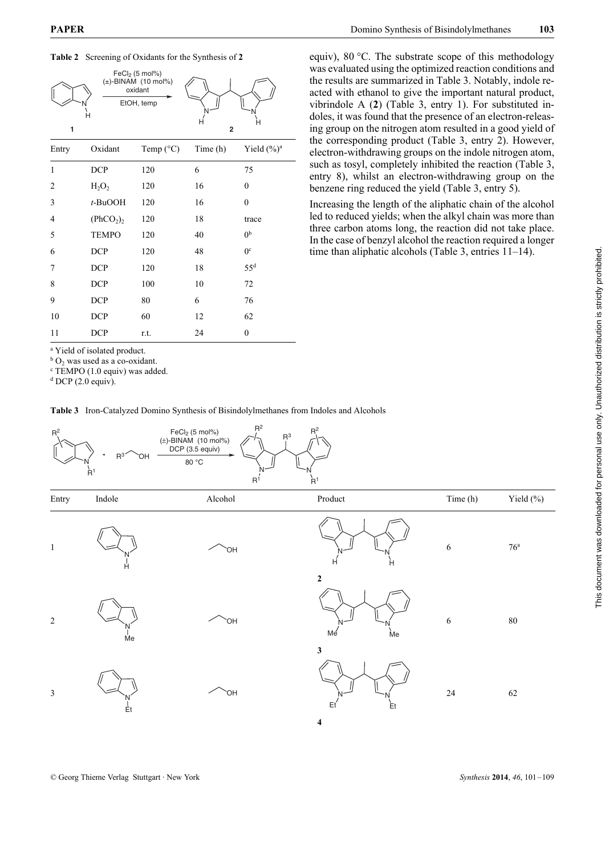



| Entry | Oxidant                           | Temp $(^{\circ}C)$ | Time(h) | Yield $(\frac{9}{6})^a$ |
|-------|-----------------------------------|--------------------|---------|-------------------------|
| 1     | <b>DCP</b>                        | 120                | 6       | 75                      |
| 2     | $H_2O_2$                          | 120                | 16      | $\mathbf{0}$            |
| 3     | $t$ -BuOOH                        | 120                | 16      | $\mathbf{0}$            |
| 4     | (PhCO <sub>2</sub> ) <sub>2</sub> | 120                | 18      | trace                   |
| 5     | <b>TEMPO</b>                      | 120                | 40      | 0 <sup>b</sup>          |
| 6     | <b>DCP</b>                        | 120                | 48      | 0 <sup>c</sup>          |
| 7     | <b>DCP</b>                        | 120                | 18      | 55 <sup>d</sup>         |
| 8     | <b>DCP</b>                        | 100                | 10      | 72                      |
| 9     | <b>DCP</b>                        | 80                 | 6       | 76                      |
| 10    | <b>DCP</b>                        | 60                 | 12      | 62                      |
| 11    | <b>DCP</b>                        | r.t.               | 24      | 0                       |

<sup>a</sup> Yield of isolated product.

 ${}^{b}$  O<sub>2</sub> was used as a co-oxidant.

c TEMPO (1.0 equiv) was added.

 $d$  DCP (2.0 equiv).

**Table 3** Iron-Catalyzed Domino Synthesis of Bisindolylmethanes from Indoles and Alcohols

equiv), 80 °C. The substrate scope of this methodology was evaluated using the optimized reaction conditions and the results are summarized in Table 3. Notably, indole reacted with ethanol to give the important natural product, vibrindole A (**2**) (Table 3, entry 1). For substituted indoles, it was found that the presence of an electron-releasing group on the nitrogen atom resulted in a good yield of the corresponding product (Table 3, entry 2). However, electron-withdrawing groups on the indole nitrogen atom, such as tosyl, completely inhibited the reaction (Table 3, entry 8), whilst an electron-withdrawing group on the benzene ring reduced the yield (Table 3, entry 5).

Increasing the length of the aliphatic chain of the alcohol led to reduced yields; when the alkyl chain was more than three carbon atoms long, the reaction did not take place. In the case of benzyl alcohol the reaction required a longer time than aliphatic alcohols (Table 3, entries 11–14).

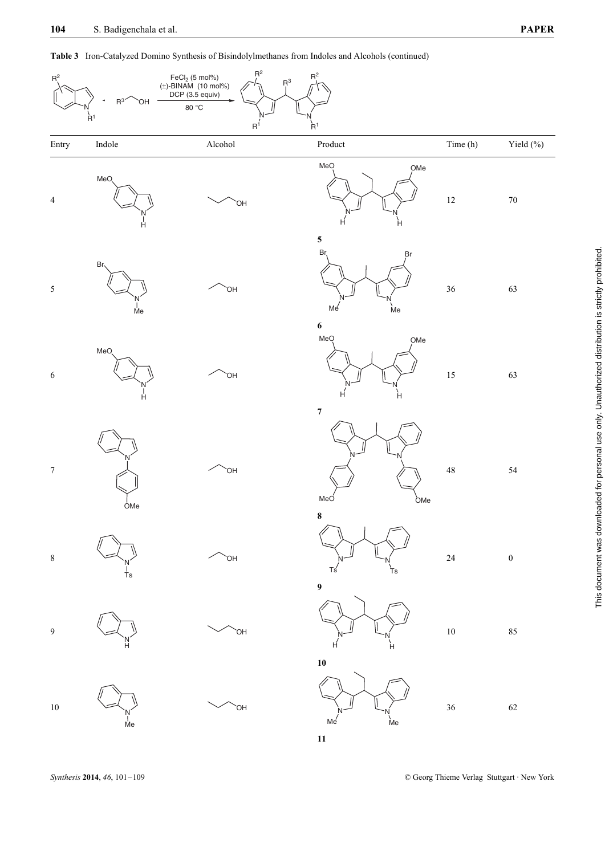**Table 3** Iron-Catalyzed Domino Synthesis of Bisindolylmethanes from Indoles and Alcohols (continued)



**11**

*Synthesis* **2014**, *46*, 101–109 © Georg Thieme Verlag Stuttgart · New York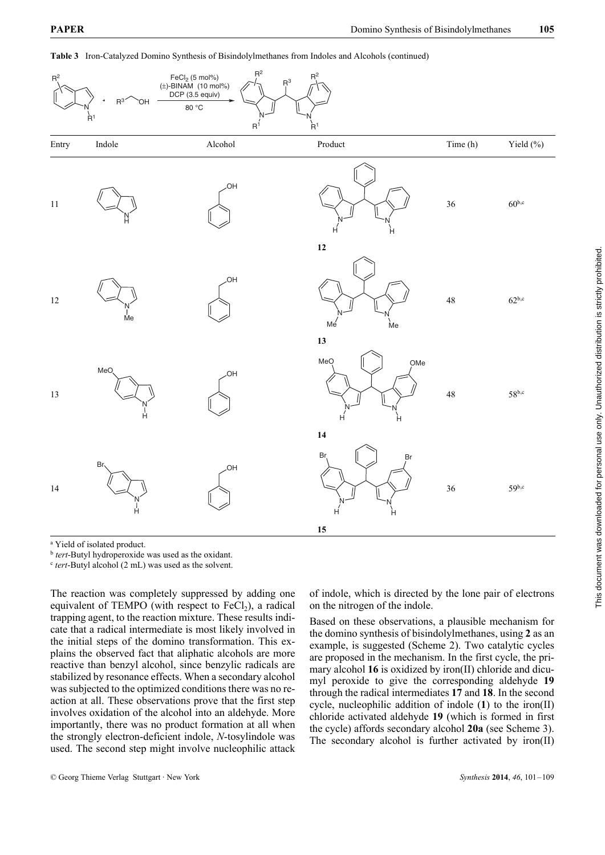

**Table 3** Iron-Catalyzed Domino Synthesis of Bisindolylmethanes from Indoles and Alcohols (continued)

<sup>a</sup> Yield of isolated product.

<sup>b</sup> *tert*-Butyl hydroperoxide was used as the oxidant.

<sup>c</sup> *tert*-Butyl alcohol (2 mL) was used as the solvent.

The reaction was completely suppressed by adding one equivalent of TEMPO (with respect to  $FeCl<sub>2</sub>$ ), a radical trapping agent, to the reaction mixture. These results indicate that a radical intermediate is most likely involved in the initial steps of the domino transformation. This explains the observed fact that aliphatic alcohols are more reactive than benzyl alcohol, since benzylic radicals are stabilized by resonance effects. When a secondary alcohol was subjected to the optimized conditions there was no reaction at all. These observations prove that the first step involves oxidation of the alcohol into an aldehyde. More importantly, there was no product formation at all when the strongly electron-deficient indole, *N*-tosylindole was used. The second step might involve nucleophilic attack of indole, which is directed by the lone pair of electrons on the nitrogen of the indole.

Based on these observations, a plausible mechanism for the domino synthesis of bisindolylmethanes, using **2** as an example, is suggested (Scheme 2). Two catalytic cycles are proposed in the mechanism. In the first cycle, the primary alcohol **16** is oxidized by iron(II) chloride and dicumyl peroxide to give the corresponding aldehyde **19** through the radical intermediates **17** and **18**. In the second cycle, nucleophilic addition of indole (**1**) to the iron(II) chloride activated aldehyde **19** (which is formed in first the cycle) affords secondary alcohol **20a** (see Scheme 3). The secondary alcohol is further activated by iron(II)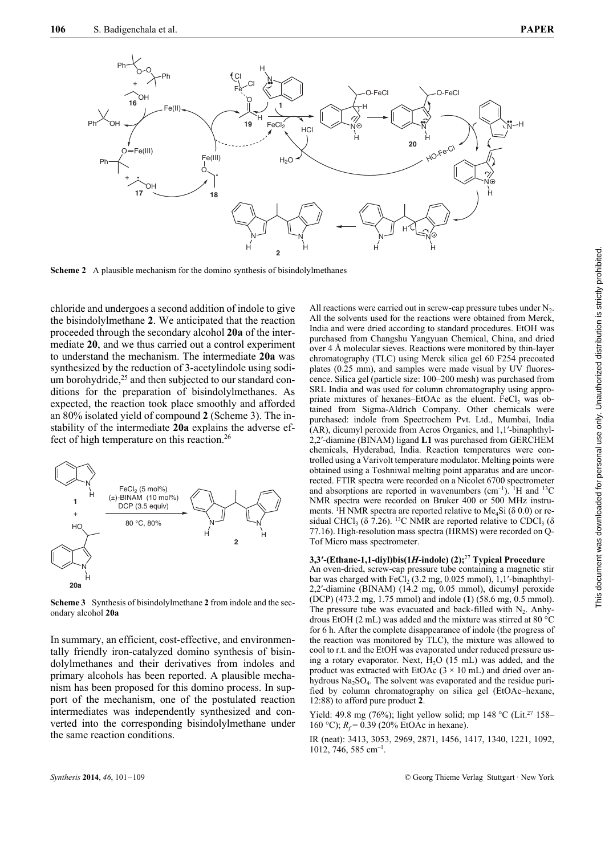

**Scheme 2** A plausible mechanism for the domino synthesis of bisindolylmethanes

chloride and undergoes a second addition of indole to give the bisindolylmethane **2**. We anticipated that the reaction proceeded through the secondary alcohol **20a** of the intermediate **20**, and we thus carried out a control experiment to understand the mechanism. The intermediate **20a** was synthesized by the reduction of 3-acetylindole using sodium borohydride,<sup>25</sup> and then subjected to our standard conditions for the preparation of bisindolylmethanes. As expected, the reaction took place smoothly and afforded an 80% isolated yield of compound **2** (Scheme 3). The instability of the intermediate **20a** explains the adverse effect of high temperature on this reaction.26



**Scheme 3** Synthesis of bisindolylmethane **2** from indole and the secondary alcohol **20a**

In summary, an efficient, cost-effective, and environmentally friendly iron-catalyzed domino synthesis of bisindolylmethanes and their derivatives from indoles and primary alcohols has been reported. A plausible mechanism has been proposed for this domino process. In support of the mechanism, one of the postulated reaction intermediates was independently synthesized and converted into the corresponding bisindolylmethane under the same reaction conditions.

All reactions were carried out in screw-cap pressure tubes under  $N<sub>2</sub>$ . All the solvents used for the reactions were obtained from Merck, India and were dried according to standard procedures. EtOH was purchased from Changshu Yangyuan Chemical, China, and dried over 4 Å molecular sieves. Reactions were monitored by thin-layer chromatography (TLC) using Merck silica gel 60 F254 precoated plates (0.25 mm), and samples were made visual by UV fluorescence. Silica gel (particle size: 100–200 mesh) was purchased from SRL India and was used for column chromatography using appropriate mixtures of hexanes–EtOAc as the eluent. FeCl<sub>2</sub> was obtained from Sigma-Aldrich Company. Other chemicals were purchased: indole from Spectrochem Pvt. Ltd., Mumbai, India (AR), dicumyl peroxide from Acros Organics, and 1,1′-binaphthyl-2,2′-diamine (BINAM) ligand **L1** was purchased from GERCHEM chemicals, Hyderabad, India. Reaction temperatures were controlled using a Varivolt temperature modulator. Melting points were obtained using a Toshniwal melting point apparatus and are uncorrected. FTIR spectra were recorded on a Nicolet 6700 spectrometer and absorptions are reported in wavenumbers  $(cm^{-1})$ . <sup>1</sup>H and <sup>13</sup>C NMR spectra were recorded on Bruker 400 or 500 MHz instruments. <sup>1</sup>H NMR spectra are reported relative to Me<sub>4</sub>Si ( $\delta$  0.0) or residual CHCl<sub>3</sub> ( $\delta$  7.26). <sup>13</sup>C NMR are reported relative to CDCl<sub>3</sub> ( $\delta$ 77.16). High-resolution mass spectra (HRMS) were recorded on Q-Tof Micro mass spectrometer.

## **3,3′-(Ethane-1,1-diyl)bis(1***H***-indole) (2);**<sup>27</sup> **Typical Procedure**

An oven-dried, screw-cap pressure tube containing a magnetic stir bar was charged with  $FeCl<sub>2</sub>$  (3.2 mg, 0.025 mmol), 1,1'-binaphthyl-2,2′-diamine (BINAM) (14.2 mg, 0.05 mmol), dicumyl peroxide (DCP) (473.2 mg, 1.75 mmol) and indole (**1**) (58.6 mg, 0.5 mmol). The pressure tube was evacuated and back-filled with  $N_2$ . Anhydrous EtOH (2 mL) was added and the mixture was stirred at 80 °C for 6 h. After the complete disappearance of indole (the progress of the reaction was monitored by TLC), the mixture was allowed to cool to r.t. and the EtOH was evaporated under reduced pressure using a rotary evaporator. Next,  $H<sub>2</sub>O$  (15 mL) was added, and the product was extracted with EtOAc  $(3 \times 10 \text{ mL})$  and dried over anhydrous  $Na<sub>2</sub>SO<sub>4</sub>$ . The solvent was evaporated and the residue purified by column chromatography on silica gel (EtOAc–hexane, 12:88) to afford pure product **2**.

Yield: 49.8 mg (76%); light yellow solid; mp 148 °C (Lit.<sup>27</sup> 158– 160 °C);  $R_f$  = 0.39 (20% EtOAc in hexane).

IR (neat): 3413, 3053, 2969, 2871, 1456, 1417, 1340, 1221, 1092, 1012, 746, 585 cm–1.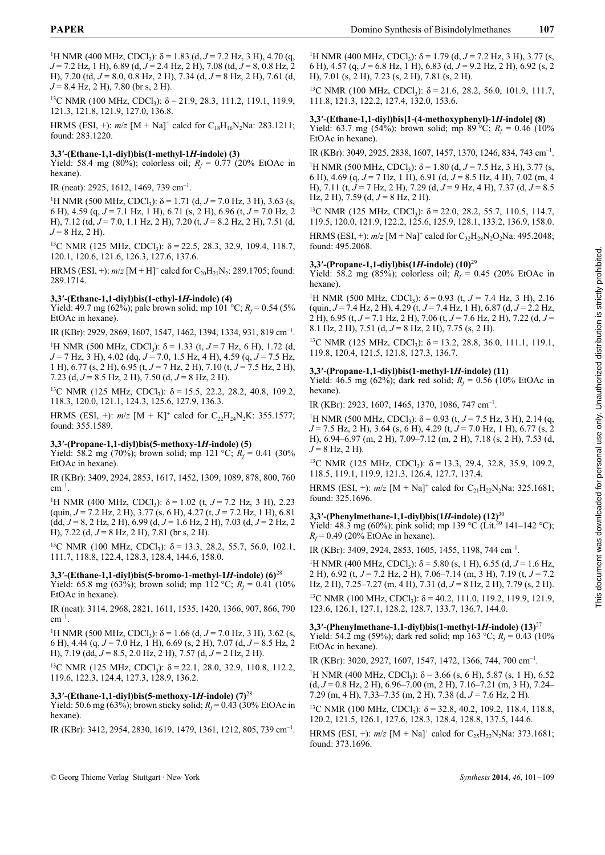<sup>1</sup>H NMR (400 MHz, CDCl<sub>3</sub>): δ = 1.83 (d, *J* = 7.2 Hz, 3 H), 4.70 (q, *J* = 7.2 Hz, 1 H), 6.89 (d, *J* = 2.4 Hz, 2 H), 7.08 (td, *J* = 8, 0.8 Hz, 2 H), 7.20 (td, *J* = 8.0, 0.8 Hz, 2 H), 7.34 (d, *J* = 8 Hz, 2 H), 7.61 (d, *J* = 8.4 Hz, 2 H), 7.80 (br s, 2 H).

<sup>13</sup>C NMR (100 MHz, CDCl<sub>3</sub>): δ = 21.9, 28.3, 111.2, 119.1, 119.9, 121.3, 121.8, 121.9, 127.0, 136.8.

HRMS (ESI, +):  $m/z$  [M + Na]<sup>+</sup> calcd for C<sub>18</sub>H<sub>16</sub>N<sub>2</sub>Na: 283.1211; found: 283.1220.

#### **3,3′-(Ethane-1,1-diyl)bis(1-methyl-1***H***-indole) (3)**

Yield: 58.4 mg (80%); colorless oil;  $R_f = 0.77$  (20% EtOAc in hexane).

IR (neat): 2925, 1612, 1469, 739 cm–1.

<sup>1</sup>H NMR (500 MHz, CDCl<sub>3</sub>): δ = 1.71 (d, *J* = 7.0 Hz, 3 H), 3.63 (s, 6 H), 4.59 (q, *J* = 7.1 Hz, 1 H), 6.71 (s, 2 H), 6.96 (t, *J* = 7.0 Hz, 2 H), 7.12 (td, *J* = 7.0, 1.1 Hz, 2 H), 7.20 (t, *J* = 8.2 Hz, 2 H), 7.51 (d,  $J = 8$  Hz, 2 H).

<sup>13</sup>C NMR (125 MHz, CDCl<sub>3</sub>): δ = 22.5, 28.3, 32.9, 109.4, 118.7, 120.1, 120.6, 121.6, 126.3, 127.6, 137.6.

HRMS (ESI, +):  $m/z$  [M + H]<sup>+</sup> calcd for  $C_{20}H_{21}N_2$ : 289.1705; found: 289.1714.

#### **3,3′-(Ethane-1,1-diyl)bis(1-ethyl-1***H***-indole) (4)**

Yield: 49.7 mg (62%); pale brown solid; mp 101 °C;  $R_f$  = 0.54 (5%) EtOAc in hexane).

IR (KBr): 2929, 2869, 1607, 1547, 1462, 1394, 1334, 931, 819 cm–1.

<sup>1</sup>H NMR (500 MHz, CDCl<sub>3</sub>): δ = 1.33 (t, *J* = 7 Hz, 6 H), 1.72 (d, *J* = 7 Hz, 3 H), 4.02 (dq, *J* = 7.0, 1.5 Hz, 4 H), 4.59 (q, *J* = 7.5 Hz, 1 H), 6.77 (s, 2 H), 6.95 (t, *J* = 7 Hz, 2 H), 7.10 (t, *J* = 7.5 Hz, 2 H), 7.23 (d, *J* = 8.5 Hz, 2 H), 7.50 (d, *J* = 8 Hz, 2 H).

<sup>13</sup>C NMR (125 MHz, CDCl<sub>3</sub>):  $δ = 15.5$ , 22.2, 28.2, 40.8, 109.2, 118.3, 120.0, 121.1, 124.3, 125.6, 127.9, 136.3.

HRMS (ESI, +):  $m/z$  [M + K]<sup>+</sup> calcd for C<sub>22</sub>H<sub>24</sub>N<sub>2</sub>K: 355.1577; found: 355.1589.

#### **3,3′-(Propane-1,1-diyl)bis(5-methoxy-1***H***-indole) (5)**

Yield: 58.2 mg (70%); brown solid; mp 121 °C;  $R_f = 0.41$  (30%) EtOAc in hexane).

IR (KBr): 3409, 2924, 2853, 1617, 1452, 1309, 1089, 878, 800, 760  $cm^{-1}$ .

<sup>1</sup>H NMR (400 MHz, CDCl<sub>3</sub>): δ = 1.02 (t, *J* = 7.2 Hz, 3 H), 2.23 (quin, *J* = 7.2 Hz, 2 H), 3.77 (s, 6 H), 4.27 (t, *J* = 7.2 Hz, 1 H), 6.81  $(\text{dd}, J = 8, 2 \text{ Hz}, 2 \text{ H}), 6.99 \text{ (d}, J = 1.6 \text{ Hz}, 2 \text{ H}), 7.03 \text{ (d}, J = 2 \text{ Hz}, 2 \text{ H})$ H), 7.22 (d, *J* = 8 Hz, 2 H), 7.81 (br s, 2 H).

<sup>13</sup>C NMR (100 MHz, CDCl<sub>3</sub>): δ = 13.3, 28.2, 55.7, 56.0, 102.1, 111.7, 118.8, 122.4, 128.3, 128.4, 144.6, 158.0.

#### **3,3′-(Ethane-1,1-diyl)bis(5-bromo-1-methyl-1***H***-indole) (6)**<sup>28</sup>

Yield: 65.8 mg (63%); brown solid; mp 112 °C;  $R_f = 0.41$  (10%) EtOAc in hexane).

IR (neat): 3114, 2968, 2821, 1611, 1535, 1420, 1366, 907, 866, 790  $cm^{-1}$ .

<sup>1</sup>H NMR (500 MHz, CDCl<sub>3</sub>): δ = 1.66 (d, *J* = 7.0 Hz, 3 H), 3.62 (s, 6 H), 4.44 (q, *J* = 7.0 Hz, 1 H), 6.69 (s, 2 H), 7.07 (d, *J* = 8.5 Hz, 2 H), 7.19 (dd, *J* = 8.5, 2.0 Hz, 2 H), 7.57 (d, *J* = 2 Hz, 2 H).

<sup>13</sup>C NMR (125 MHz, CDCl<sub>3</sub>): δ = 22.1, 28.0, 32.9, 110.8, 112.2, 119.6, 122.3, 124.4, 127.3, 128.9, 136.2.

#### **3,3′-(Ethane-1,1-diyl)bis(5-methoxy-1***H***-indole) (7)**<sup>28</sup>

Yield: 50.6 mg (63%); brown sticky solid;  $R_f$  = 0.43 (30% EtOAc in hexane)

IR (KBr): 3412, 2954, 2830, 1619, 1479, 1361, 1212, 805, 739 cm–1.

<sup>1</sup>H NMR (400 MHz, CDCl<sub>3</sub>): δ = 1.79 (d, *J* = 7.2 Hz, 3 H), 3.77 (s, 6 H), 4.57 (q, *J* = 6.8 Hz, 1 H), 6.83 (d, *J* = 9.2 Hz, 2 H), 6.92 (s, 2 H), 7.01 (s, 2 H), 7.23 (s, 2 H), 7.81 (s, 2 H).

<sup>13</sup>C NMR (100 MHz, CDCl<sub>3</sub>): δ = 21.6, 28.2, 56.0, 101.9, 111.7, 111.8, 121.3, 122.2, 127.4, 132.0, 153.6.

#### **3,3′-(Ethane-1,1-diyl)bis[1-(4-methoxyphenyl)-1***H***-indole] (8)**

Yield: 63.7 mg (54%); brown solid; mp 89 °C;  $R_f = 0.46$  (10%) EtOAc in hexane).

IR (KBr): 3049, 2925, 2838, 1607, 1457, 1370, 1246, 834, 743 cm–1.

<sup>1</sup>H NMR (500 MHz, CDCl<sub>3</sub>):  $\delta$  = 1.80 (d, *J* = 7.5 Hz, 3 H), 3.77 (s, 6 H), 4.69 (q, *J* = 7 Hz, 1 H), 6.91 (d, *J* = 8.5 Hz, 4 H), 7.02 (m, 4 H), 7.11 (t, *J* = 7 Hz, 2 H), 7.29 (d, *J* = 9 Hz, 4 H), 7.37 (d, *J* = 8.5 Hz, 2 H), 7.59 (d, *J* = 8 Hz, 2 H).

<sup>13</sup>C NMR (125 MHz, CDCl<sub>3</sub>): δ = 22.0, 28.2, 55.7, 110.5, 114.7, 119.5, 120.0, 121.9, 122.2, 125.6, 125.9, 128.1, 133.2, 136.9, 158.0.

HRMS (ESI, +):  $m/z$  [M + Na]<sup>+</sup> calcd for  $C_{32}H_{28}N_{2}O_{2}Na$ : 495.2048; found: 495.2068.

#### **3,3′-(Propane-1,1-diyl)bis(1***H***-indole) (10)**<sup>29</sup>

Yield: 58.2 mg (85%); colorless oil;  $R_f = 0.45$  (20% EtOAc in hexane).

<sup>1</sup>H NMR (500 MHz, CDCl<sub>3</sub>): δ = 0.93 (t, *J* = 7.4 Hz, 3 H), 2.16 (quin, *J* = 7.4 Hz, 2 H), 4.29 (t, *J* = 7.4 Hz, 1 H), 6.87 (d, *J* = 2.2 Hz, 2 H), 6.95 (t, *J* = 7.1 Hz, 2 H), 7.06 (t, *J* = 7.6 Hz, 2 H), 7.22 (d, *J* = 8.1 Hz, 2 H), 7.51 (d, *J* = 8 Hz, 2 H), 7.75 (s, 2 H).

<sup>13</sup>C NMR (125 MHz, CDCl<sub>3</sub>):  $δ = 13.2, 28.8, 36.0, 111.1, 119.1,$ 119.8, 120.4, 121.5, 121.8, 127.3, 136.7.

#### **3,3′-(Propane-1,1-diyl)bis(1-methyl-1***H***-indole) (11)**

Yield: 46.5 mg (62%); dark red solid;  $R_f = 0.56$  (10% EtOAc in hexane).

IR (KBr): 2923, 1607, 1465, 1370, 1086, 747 cm–1.

<sup>1</sup>H NMR (500 MHz, CDCl<sub>3</sub>): δ = 0.93 (t, *J* = 7.5 Hz, 3 H), 2.14 (q, *J* = 7.5 Hz, 2 H), 3.64 (s, 6 H), 4.29 (t, *J* = 7.0 Hz, 1 H), 6.77 (s, 2 H), 6.94–6.97 (m, 2 H), 7.09–7.12 (m, 2 H), 7.18 (s, 2 H), 7.53 (d,  $J = 8$  Hz, 2 H).

<sup>13</sup>C NMR (125 MHz, CDCl<sub>3</sub>): δ = 13.3, 29.4, 32.8, 35.9, 109.2, 118.5, 119.1, 119.9, 121.3, 126.4, 127.7, 137.4.

HRMS (ESI, +):  $m/z$  [M + Na]<sup>+</sup> calcd for C<sub>21</sub>H<sub>22</sub>N<sub>2</sub>Na: 325.1681; found: 325.1696.

### **3,3′-(Phenylmethane-1,1-diyl)bis(1***H***-indole) (12)**<sup>30</sup>

Yield: 48.3 mg (60%); pink solid; mp 139 °C (Lit.<sup>30</sup> 141-142 °C);  $R_f$  = 0.49 (20% EtOAc in hexane).

IR (KBr): 3409, 2924, 2853, 1605, 1455, 1198, 744 cm–1.

<sup>1</sup>H NMR (400 MHz, CDCl<sub>3</sub>): δ = 5.80 (s, 1 H), 6.55 (d,  $J$  = 1.6 Hz, 2 H), 6.92 (t, *J* = 7.2 Hz, 2 H), 7.06–7.14 (m, 3 H), 7.19 (t, *J* = 7.2 Hz, 2 H), 7.25–7.27 (m, 4 H), 7.31 (d, *J* = 8 Hz, 2 H), 7.79 (s, 2 H). <sup>13</sup>C NMR (100 MHz, CDCl<sub>3</sub>): δ = 40.2, 111.0, 119.2, 119.9, 121.9, 123.6, 126.1, 127.1, 128.2, 128.7, 133.7, 136.7, 144.0.

# **3,3′-(Phenylmethane-1,1-diyl)bis(1-methyl-1***H***-indole) (13)**<sup>27</sup>

Yield: 54.2 mg (59%); dark red solid; mp 163 °C;  $R_f = 0.43$  (10%) EtOAc in hexane).

IR (KBr): 3020, 2927, 1607, 1547, 1472, 1366, 744, 700 cm–1.

<sup>1</sup>H NMR (400 MHz, CDCl<sub>3</sub>): δ = 3.66 (s, 6 H), 5.87 (s, 1 H), 6.52 (d, *J* = 0.8 Hz, 2 H), 6.96–7.00 (m, 2 H), 7.16–7.21 (m, 3 H), 7.24– 7.29 (m, 4 H), 7.33–7.35 (m, 2 H), 7.38 (d, *J* = 7.6 Hz, 2 H).

<sup>13</sup>C NMR (100 MHz, CDCl<sub>3</sub>):  $\delta$  = 32.8, 40.2, 109.2, 118.4, 118.8, 120.2, 121.5, 126.1, 127.6, 128.3, 128.4, 128.8, 137.5, 144.6.

HRMS (ESI, +):  $m/z$  [M + Na]<sup>+</sup> calcd for C<sub>25</sub>H<sub>22</sub>N<sub>2</sub>Na: 373.1681; found: 373.1696.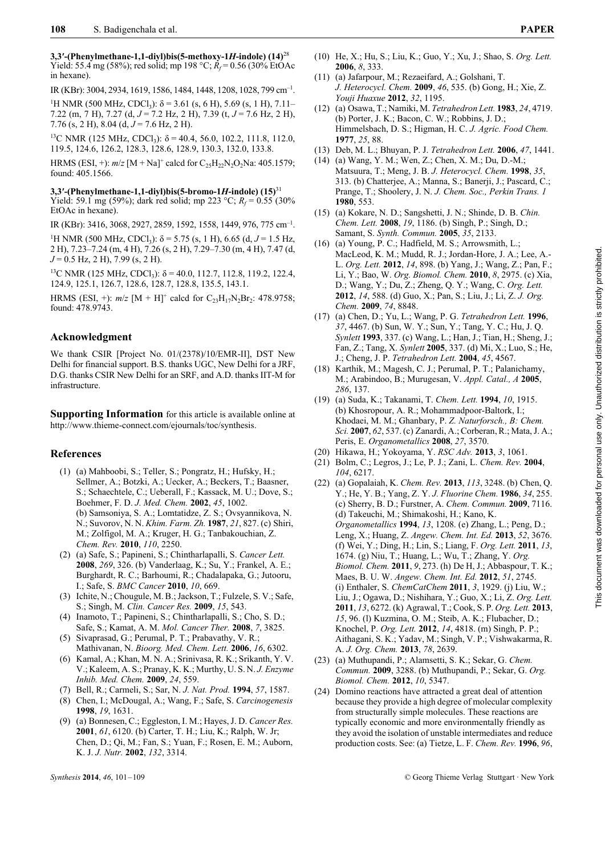**3,3′-(Phenylmethane-1,1-diyl)bis(5-methoxy-1***H***-indole) (14)**<sup>28</sup> Yield: 55.4 mg (58%); red solid; mp 198 °C;  $R_f$  = 0.56 (30% EtOAc in hexane).

IR (KBr): 3004, 2934, 1619, 1586, 1484, 1448, 1208, 1028, 799 cm–1.

<sup>1</sup>H NMR (500 MHz, CDCl<sub>3</sub>):  $\delta$  = 3.61 (s, 6 H), 5.69 (s, 1 H), 7.11– 7.22 (m, 7 H), 7.27 (d, *J* = 7.2 Hz, 2 H), 7.39 (t, *J* = 7.6 Hz, 2 H), 7.76 (s, 2 H), 8.04 (d, *J* = 7.6 Hz, 2 H).

<sup>13</sup>C NMR (125 MHz, CDCl<sub>3</sub>):  $δ = 40.4, 56.0, 102.2, 111.8, 112.0,$ 119.5, 124.6, 126.2, 128.3, 128.6, 128.9, 130.3, 132.0, 133.8.

HRMS (ESI, +):  $m/z$  [M + Na]<sup>+</sup> calcd for  $C_{25}H_{22}N_2O_2$ Na: 405.1579; found: 405.1566.

**3,3′-(Phenylmethane-1,1-diyl)bis(5-bromo-1***H***-indole) (15)**<sup>31</sup> Yield: 59.1 mg (59%); dark red solid; mp 223 °C;  $R_f = 0.55$  (30%) EtOAc in hexane).

IR (KBr): 3416, 3068, 2927, 2859, 1592, 1558, 1449, 976, 775 cm–1.

<sup>1</sup>H NMR (500 MHz, CDCl<sub>3</sub>): δ = 5.75 (s, 1 H), 6.65 (d, *J* = 1.5 Hz, 2 H), 7.23–7.24 (m, 4 H), 7.26 (s, 2 H), 7.29–7.30 (m, 4 H), 7.47 (d, *J* = 0.5 Hz, 2 H), 7.99 (s, 2 H).

<sup>13</sup>C NMR (125 MHz, CDCl<sub>3</sub>): δ = 40.0, 112.7, 112.8, 119.2, 122.4, 124.9, 125.1, 126.7, 128.6, 128.7, 128.8, 135.5, 143.1.

HRMS (ESI, +):  $m/z$  [M + H]<sup>+</sup> calcd for  $C_{23}H_{17}N_2Br_2$ : 478.9758; found: 478.9743.

#### **Acknowledgment**

We thank CSIR [Project No. 01/(2378)/10/EMR-II], DST New Delhi for financial support. B.S. thanks UGC, New Delhi for a JRF, D.G. thanks CSIR New Delhi for an SRF, and A.D. thanks IIT-M for infrastructure.

**Supporting Information** for this article is available online at http://www.thieme-connect.com/ejournals/toc/synthesis.

#### **References**

- (1) (a) Mahboobi, S.; Teller, S.; Pongratz, H.; Hufsky, H.; Sellmer, A.; Botzki, A.; Uecker, A.; Beckers, T.; Baasner, S.; Schaechtele, C.; Ueberall, F.; Kassack, M. U.; Dove, S.; Boehmer, F. D. *J. Med. Chem.* **2002**, *45*, 1002. (b) Samsoniya, S. A.; Lomtatidze, Z. S.; Ovsyannikova, N. N.; Suvorov, N. N. *Khim. Farm. Zh.* **1987**, *21*, 827. (c) Shiri, M.; Zolfigol, M. A.; Kruger, H. G.; Tanbakouchian, Z. *Chem. Rev.* **2010**, *110*, 2250.
- (2) (a) Safe, S.; Papineni, S.; Chintharlapalli, S. *Cancer Lett.* **2008**, *269*, 326. (b) Vanderlaag, K.; Su, Y.; Frankel, A. E.; Burghardt, R. C.; Barhoumi, R.; Chadalapaka, G.; Jutooru, I.; Safe, S. *BMC Cancer* **2010**, *10*, 669.
- (3) Ichite, N.; Chougule, M. B.; Jackson, T.; Fulzele, S. V.; Safe, S.; Singh, M. *Clin. Cancer Res.* **2009**, *15*, 543.
- (4) Inamoto, T.; Papineni, S.; Chintharlapalli, S.; Cho, S. D.; Safe, S.; Kamat, A. M. *Mol. Cancer Ther.* **2008**, *7*, 3825.
- (5) Sivaprasad, G.; Perumal, P. T.; Prabavathy, V. R.; Mathivanan, N. *Bioorg. Med. Chem. Lett.* **2006**, *16*, 6302.
- (6) Kamal, A.; Khan, M. N. A.; Srinivasa, R. K.; Srikanth, Y. V. V.; Kaleem, A. S.; Pranay, K. K.; Murthy, U. S. N. *J. Enzyme Inhib. Med. Chem.* **2009**, *24*, 559.
- (7) Bell, R.; Carmeli, S.; Sar, N. *J. Nat. Prod.* **1994**, *57*, 1587.
- (8) Chen, I.; McDougal, A.; Wang, F.; Safe, S. *Carcinogenesis* **1998**, *19*, 1631.
- (9) (a) Bonnesen, C.; Eggleston, I. M.; Hayes, J. D. *Cancer Res.* **2001**, *61*, 6120. (b) Carter, T. H.; Liu, K.; Ralph, W. Jr; Chen, D.; Qi, M.; Fan, S.; Yuan, F.; Rosen, E. M.; Auborn, K. J. *J. Nutr.* **2002**, *132*, 3314.
- (10) He, X.; Hu, S.; Liu, K.; Guo, Y.; Xu, J.; Shao, S. *Org. Lett.* **2006**, *8*, 333.
- (11) (a) Jafarpour, M.; Rezaeifard, A.; Golshani, T. *J. Heterocycl. Chem.* **2009**, *46*, 535. (b) Gong, H.; Xie, Z. *Youji Huaxue* **2012**, *32*, 1195.
- (12) (a) Osawa, T.; Namiki, M. *Tetrahedron Lett.* **1983**, *24*, 4719. (b) Porter, J. K.; Bacon, C. W.; Robbins, J. D.; Himmelsbach, D. S.; Higman, H. C. *J. Agric. Food Chem.* **1977**, *25*, 88.
- (13) Deb, M. L.; Bhuyan, P. J. *Tetrahedron Lett.* **2006**, *47*, 1441.
- (14) (a) Wang, Y. M.; Wen, Z.; Chen, X. M.; Du, D.-M.; Matsuura, T.; Meng, J. B. *J. Heterocycl. Chem.* **1998**, *35*, 313. (b) Chatterjee, A.; Manna, S.; Banerji, J.; Pascard, C.; Prange, T.; Shoolery, J. N. *J. Chem. Soc., Perkin Trans. 1* **1980**, 553.
- (15) (a) Kokare, N. D.; Sangshetti, J. N.; Shinde, D. B. *Chin. Chem. Lett.* **2008**, *19*, 1186. (b) Singh, P.; Singh, D.; Samant, S. *Synth. Commun.* **2005**, *35*, 2133.
- (16) (a) Young, P. C.; Hadfield, M. S.; Arrowsmith, L.; MacLeod, K. M.; Mudd, R. J.; Jordan-Hore, J. A.; Lee, A.- L. *Org. Lett.* **2012**, *14*, 898. (b) Yang, J.; Wang, Z.; Pan, F.; Li, Y.; Bao, W. *Org. Biomol. Chem.* **2010**, *8*, 2975. (c) Xia, D.; Wang, Y.; Du, Z.; Zheng, Q. Y.; Wang, C. *Org. Lett.* **2012**, *14*, 588. (d) Guo, X.; Pan, S.; Liu, J.; Li, Z. *J. Org. Chem.* **2009**, *74*, 8848.
- (17) (a) Chen, D.; Yu, L.; Wang, P. G. *Tetrahedron Lett.* **1996**, *37*, 4467. (b) Sun, W. Y.; Sun, Y.; Tang, Y. C.; Hu, J. Q. *Synlett* **1993**, 337. (c) Wang, L.; Han, J.; Tian, H.; Sheng, J.; Fan, Z.; Tang, X. *Synlett* **2005**, 337. (d) Mi, X.; Luo, S.; He, J.; Cheng, J. P. *Tetrahedron Lett.* **2004**, *45*, 4567.
- (18) Karthik, M.; Magesh, C. J.; Perumal, P. T.; Palanichamy, M.; Arabindoo, B.; Murugesan, V. *Appl. Catal., A* **2005**, *286*, 137.
- (19) (a) Suda, K.; Takanami, T. *Chem. Lett.* **1994**, *10*, 1915. (b) Khosropour, A. R.; Mohammadpoor-Baltork, I.; Khodaei, M. M.; Ghanbary, P. *Z. Naturforsch., B: Chem. Sci.* **2007**, *62*, 537. (c) Zanardi, A.; Corberan, R.; Mata, J. A.; Peris, E. *Organometallics* **2008**, *27*, 3570.
- (20) Hikawa, H.; Yokoyama, Y. *RSC Adv.* **2013**, *3*, 1061.
- (21) Bolm, C.; Legros, J.; Le, P. J.; Zani, L. *Chem. Rev.* **2004**, *104*, 6217.
- (22) (a) Gopalaiah, K. *Chem. Rev.* **2013**, *113*, 3248. (b) Chen, Q. Y.; He, Y. B.; Yang, Z. Y. *J. Fluorine Chem.* **1986**, *34*, 255. (c) Sherry, B. D.; Furstner, A. *Chem. Commun.* **2009**, 7116. (d) Takeuchi, M.; Shimakoshi, H.; Kano, K. *Organometallics* **1994**, *13*, 1208. (e) Zhang, L.; Peng, D.; Leng, X.; Huang, Z. *Angew. Chem. Int. Ed.* **2013**, *52*, 3676. (f) Wei, Y.; Ding, H.; Lin, S.; Liang, F. *Org. Lett.* **2011**, *13*, 1674. (g) Niu, T.; Huang, L.; Wu, T.; Zhang, Y. *Org. Biomol. Chem.* **2011**, *9*, 273. (h) De H, J.; Abbaspour, T. K.; Maes, B. U. W. *Angew. Chem. Int. Ed.* **2012**, *51*, 2745. (i) Enthaler, S. *ChemCatChem* **2011**, *3*, 1929. (j) Liu, W.; Liu, J.; Ogawa, D.; Nishihara, Y.; Guo, X.; Li, Z. *Org. Lett.* **2011**, *13*, 6272. (k) Agrawal, T.; Cook, S. P. *Org. Lett.* **2013**, *15*, 96. (l) Kuzmina, O. M.; Steib, A. K.; Flubacher, D.; Knochel, P. *Org. Lett.* **2012**, *14*, 4818. (m) Singh, P. P.; Aithagani, S. K.; Yadav, M.; Singh, V. P.; Vishwakarma, R. A. *J. Org. Chem.* **2013**, *78*, 2639.
- (23) (a) Muthupandi, P.; Alamsetti, S. K.; Sekar, G. *Chem. Commun.* **2009**, 3288. (b) Muthupandi, P.; Sekar, G. *Org. Biomol. Chem.* **2012**, *10*, 5347.
- (24) Domino reactions have attracted a great deal of attention because they provide a high degree of molecular complexity from structurally simple molecules. These reactions are typically economic and more environmentally friendly as they avoid the isolation of unstable intermediates and reduce production costs. See: (a) Tietze, L. F. *Chem. Rev.* **1996**, *96*,